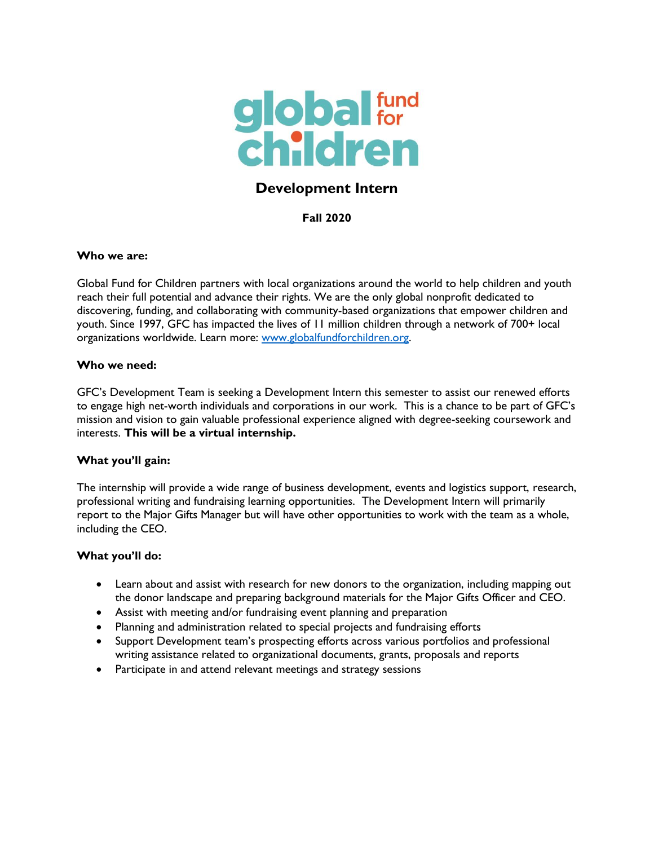

# **Development Intern**

**Fall 2020**

### **Who we are:**

Global Fund for Children partners with local organizations around the world to help children and youth reach their full potential and advance their rights. We are the only global nonprofit dedicated to discovering, funding, and collaborating with community-based organizations that empower children and youth. Since 1997, GFC has impacted the lives of 11 million children through a network of 700+ local organizations worldwide. Learn more: [www.globalfundforchildren.org.](http://www.globalfundforchildren.org/)

#### **Who we need:**

GFC's Development Team is seeking a Development Intern this semester to assist our renewed efforts to engage high net-worth individuals and corporations in our work. This is a chance to be part of GFC's mission and vision to gain valuable professional experience aligned with degree-seeking coursework and interests. **This will be a virtual internship.**

### **What you'll gain:**

The internship will provide a wide range of business development, events and logistics support, research, professional writing and fundraising learning opportunities. The Development Intern will primarily report to the Major Gifts Manager but will have other opportunities to work with the team as a whole, including the CEO.

### **What you'll do:**

- Learn about and assist with research for new donors to the organization, including mapping out the donor landscape and preparing background materials for the Major Gifts Officer and CEO.
- Assist with meeting and/or fundraising event planning and preparation
- Planning and administration related to special projects and fundraising efforts
- Support Development team's prospecting efforts across various portfolios and professional writing assistance related to organizational documents, grants, proposals and reports
- Participate in and attend relevant meetings and strategy sessions